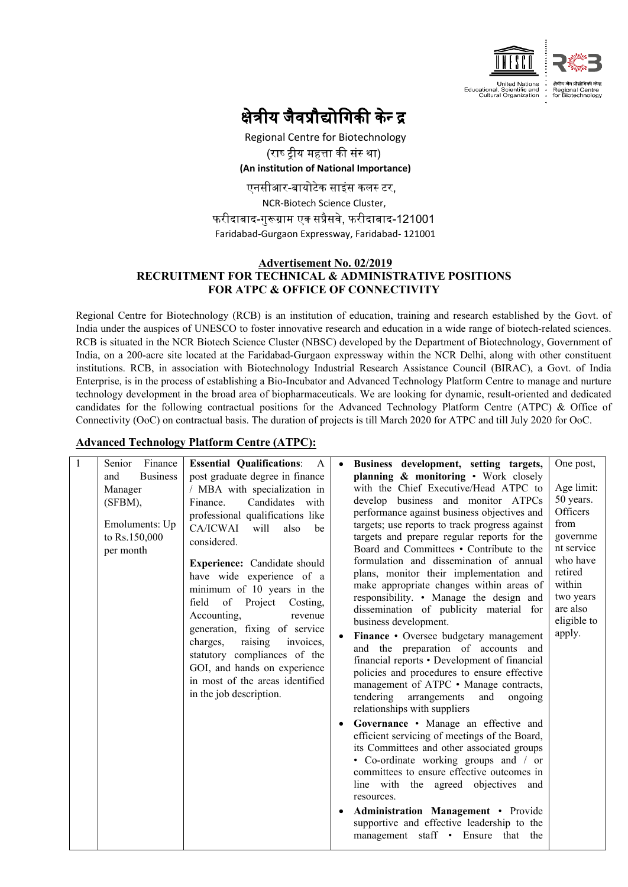

# क्षेत्रीय जैवप्रौद्योगिकी केन्द्र

Regional Centre for Biotechnology (राष्ट्रीय महत्ता की संस्था) **(An institution of National Importance)** एनसीआर-बायोटेक साइंस कलस् टर,

NCR-Biotech Science Cluster, फरीदाबाद-गुरूग्राम एक सप्रैसवे, फरीदाबाद-121001 Faridabad-Gurgaon Expressway, Faridabad- 121001

#### **Advertisement No. 02/2019 RECRUITMENT FOR TECHNICAL & ADMINISTRATIVE POSITIONS FOR ATPC & OFFICE OF CONNECTIVITY**

Regional Centre for Biotechnology (RCB) is an institution of education, training and research established by the Govt. of India under the auspices of UNESCO to foster innovative research and education in a wide range of biotech-related sciences. RCB is situated in the NCR Biotech Science Cluster (NBSC) developed by the Department of Biotechnology, Government of India, on a 200-acre site located at the Faridabad-Gurgaon expressway within the NCR Delhi, along with other constituent institutions. RCB, in association with Biotechnology Industrial Research Assistance Council (BIRAC), a Govt. of India Enterprise, is in the process of establishing a Bio-Incubator and Advanced Technology Platform Centre to manage and nurture technology development in the broad area of biopharmaceuticals. We are looking for dynamic, result-oriented and dedicated candidates for the following contractual positions for the Advanced Technology Platform Centre (ATPC) & Office of Connectivity (OoC) on contractual basis. The duration of projects is till March 2020 for ATPC and till July 2020 for OoC.

## **Advanced Technology Platform Centre (ATPC):**

| Finance<br>Senior                                                                               | <b>Essential Qualifications:</b><br>$\mathsf{A}$                                                                                                                                                                                                                                                                                                                                                                                                                                                                                               | Business development, setting targets,                                                                                                                                                                                                                                                                                                                                                                                                                                                                                                                                                                                                                                                                                                                                                                                                                                                                                                                                                                                                                                                                                                                                                                                                                                                  | One post,                                                                                                                                                |
|-------------------------------------------------------------------------------------------------|------------------------------------------------------------------------------------------------------------------------------------------------------------------------------------------------------------------------------------------------------------------------------------------------------------------------------------------------------------------------------------------------------------------------------------------------------------------------------------------------------------------------------------------------|-----------------------------------------------------------------------------------------------------------------------------------------------------------------------------------------------------------------------------------------------------------------------------------------------------------------------------------------------------------------------------------------------------------------------------------------------------------------------------------------------------------------------------------------------------------------------------------------------------------------------------------------------------------------------------------------------------------------------------------------------------------------------------------------------------------------------------------------------------------------------------------------------------------------------------------------------------------------------------------------------------------------------------------------------------------------------------------------------------------------------------------------------------------------------------------------------------------------------------------------------------------------------------------------|----------------------------------------------------------------------------------------------------------------------------------------------------------|
| <b>Business</b><br>and<br>Manager<br>$(SFBM)$ ,<br>Emoluments: Up<br>to Rs.150,000<br>per month | post graduate degree in finance<br>/ MBA with specialization in<br>Candidates with<br>Finance.<br>professional qualifications like<br>CA/ICWAI<br>will<br>also<br>be<br>considered.<br>Experience: Candidate should<br>have wide experience of a<br>minimum of 10 years in the<br>of Project<br>field<br>Costing.<br>Accounting,<br>revenue<br>generation, fixing of service<br>raising<br>charges,<br>invoices,<br>statutory compliances of the<br>GOI, and hands on experience<br>in most of the areas identified<br>in the job description. | planning & monitoring • Work closely<br>with the Chief Executive/Head ATPC to<br>develop business and monitor ATPCs<br>performance against business objectives and<br>targets; use reports to track progress against<br>targets and prepare regular reports for the<br>Board and Committees • Contribute to the<br>formulation and dissemination of annual<br>plans, monitor their implementation and<br>make appropriate changes within areas of<br>responsibility. • Manage the design and<br>dissemination of publicity material for<br>business development.<br>Finance • Oversee budgetary management<br>and the preparation of accounts and<br>financial reports • Development of financial<br>policies and procedures to ensure effective<br>management of ATPC • Manage contracts,<br>tendering<br>arrangements<br>and<br>ongoing<br>relationships with suppliers<br>Governance • Manage an effective and<br>efficient servicing of meetings of the Board,<br>its Committees and other associated groups<br>• Co-ordinate working groups and / or<br>committees to ensure effective outcomes in<br>line with the agreed objectives and<br>resources.<br>Administration Management • Provide<br>supportive and effective leadership to the<br>management staff • Ensure that the | Age limit:<br>50 years.<br>Officers<br>from<br>governme<br>nt service<br>who have<br>retired<br>within<br>two years<br>are also<br>eligible to<br>apply. |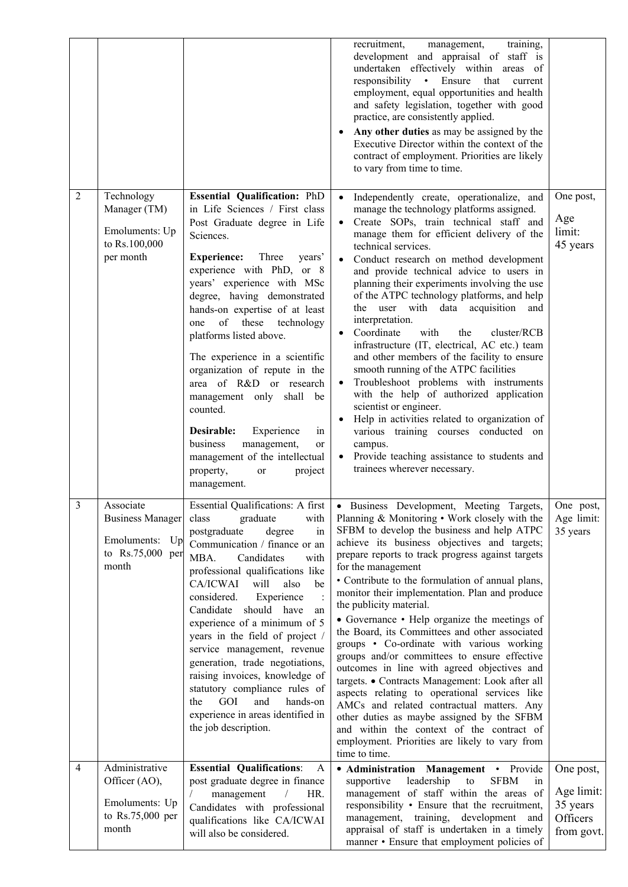|                |                                                                                |                                                                                                                                                                                                                                                                                                                                                                                                                                                                                                                                                                                                                                       | recruitment,<br>training,<br>management,<br>development and appraisal of staff is<br>undertaken effectively within areas of<br>responsibility • Ensure that current<br>employment, equal opportunities and health<br>and safety legislation, together with good<br>practice, are consistently applied.<br>Any other duties as may be assigned by the<br>Executive Director within the context of the<br>contract of employment. Priorities are likely<br>to vary from time to time.                                                                                                                                                                                                                                                                                                                                                                                                                                                                              |                                                               |
|----------------|--------------------------------------------------------------------------------|---------------------------------------------------------------------------------------------------------------------------------------------------------------------------------------------------------------------------------------------------------------------------------------------------------------------------------------------------------------------------------------------------------------------------------------------------------------------------------------------------------------------------------------------------------------------------------------------------------------------------------------|------------------------------------------------------------------------------------------------------------------------------------------------------------------------------------------------------------------------------------------------------------------------------------------------------------------------------------------------------------------------------------------------------------------------------------------------------------------------------------------------------------------------------------------------------------------------------------------------------------------------------------------------------------------------------------------------------------------------------------------------------------------------------------------------------------------------------------------------------------------------------------------------------------------------------------------------------------------|---------------------------------------------------------------|
| $\overline{2}$ | Technology<br>Manager (TM)<br>Emoluments: Up<br>to Rs.100,000<br>per month     | <b>Essential Qualification: PhD</b><br>in Life Sciences / First class<br>Post Graduate degree in Life<br>Sciences.<br><b>Experience:</b><br>Three<br>years'<br>experience with PhD, or 8<br>years' experience with MSc<br>degree, having demonstrated<br>hands-on expertise of at least<br>one of these technology<br>platforms listed above.<br>The experience in a scientific<br>organization of repute in the<br>area of R&D or research<br>management only shall be<br>counted.<br>Desirable:<br>Experience<br>in<br>business<br>management,<br>or<br>management of the intellectual<br>property,<br>project<br>or<br>management. | Independently create, operationalize, and<br>manage the technology platforms assigned.<br>Create SOPs, train technical staff and<br>manage them for efficient delivery of the<br>technical services.<br>Conduct research on method development<br>and provide technical advice to users in<br>planning their experiments involving the use<br>of the ATPC technology platforms, and help<br>the user with data acquisition and<br>interpretation.<br>Coordinate<br>with<br>the<br>cluster/RCB<br>infrastructure (IT, electrical, AC etc.) team<br>and other members of the facility to ensure<br>smooth running of the ATPC facilities<br>Troubleshoot problems with instruments<br>with the help of authorized application<br>scientist or engineer.<br>Help in activities related to organization of<br>various training courses conducted on<br>campus.<br>Provide teaching assistance to students and<br>trainees wherever necessary.                        | One post,<br>Age<br>limit:<br>45 years                        |
| $\overline{3}$ | Associate<br>Business Manager<br>Emoluments: Up<br>to Rs.75,000 per<br>month   | <b>Essential Qualifications: A first</b><br>class<br>graduate<br>with<br>postgraduate<br>degree<br>in<br>Communication / finance or an<br>MBA.<br>Candidates<br>with<br>professional qualifications like<br>CA/ICWAI<br>will<br>also<br>be<br>Experience<br>considered.<br>should have<br>Candidate<br>an<br>experience of a minimum of 5<br>years in the field of project /<br>service management, revenue<br>generation, trade negotiations,<br>raising invoices, knowledge of<br>statutory compliance rules of<br>GOI<br>and<br>the<br>hands-on<br>experience in areas identified in<br>the job description.                       | • Business Development, Meeting Targets,<br>Planning & Monitoring • Work closely with the<br>SFBM to develop the business and help ATPC<br>achieve its business objectives and targets;<br>prepare reports to track progress against targets<br>for the management<br>• Contribute to the formulation of annual plans,<br>monitor their implementation. Plan and produce<br>the publicity material.<br>• Governance • Help organize the meetings of<br>the Board, its Committees and other associated<br>groups • Co-ordinate with various working<br>groups and/or committees to ensure effective<br>outcomes in line with agreed objectives and<br>targets. • Contracts Management: Look after all<br>aspects relating to operational services like<br>AMCs and related contractual matters. Any<br>other duties as maybe assigned by the SFBM<br>and within the context of the contract of<br>employment. Priorities are likely to vary from<br>time to time. | One post,<br>Age limit:<br>35 years                           |
| 4              | Administrative<br>Officer (AO),<br>Emoluments: Up<br>to Rs.75,000 per<br>month | <b>Essential Qualifications:</b><br>A<br>post graduate degree in finance<br>management<br>HR.<br>$\sqrt{2}$<br>Candidates with professional<br>qualifications like CA/ICWAI<br>will also be considered.                                                                                                                                                                                                                                                                                                                                                                                                                               | • Administration Management • Provide<br>leadership<br><b>SFBM</b><br>supportive<br>${\rm to}$<br><sub>1</sub> n<br>management of staff within the areas of<br>responsibility • Ensure that the recruitment,<br>management, training, development<br>and<br>appraisal of staff is undertaken in a timely<br>manner • Ensure that employment policies of                                                                                                                                                                                                                                                                                                                                                                                                                                                                                                                                                                                                          | One post,<br>Age limit:<br>35 years<br>Officers<br>from govt. |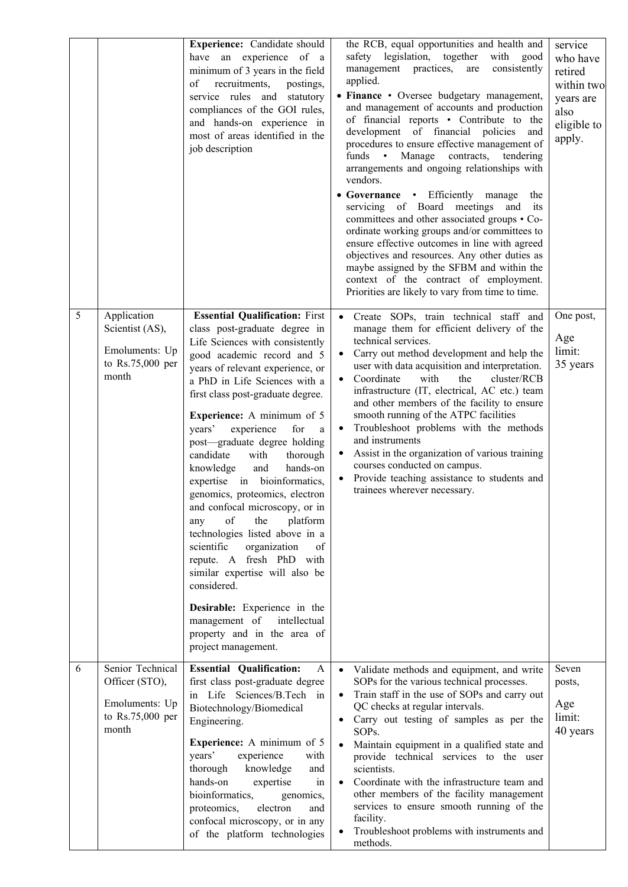|   |                                                                                   | Experience: Candidate should<br>have an experience of a<br>minimum of 3 years in the field<br>recruitments,<br>of<br>postings,<br>service rules and statutory<br>compliances of the GOI rules,<br>and hands-on experience in<br>most of areas identified in the<br>job description                                                                                                                                                                                                                                                                                                                                                                                                                                                                                                                                                               | the RCB, equal opportunities and health and<br>safety legislation, together<br>with good<br>management practices,<br>consistently<br>are<br>applied.<br>• Finance • Oversee budgetary management,<br>and management of accounts and production<br>of financial reports • Contribute to the<br>development of financial policies<br>and<br>procedures to ensure effective management of<br>funds • Manage contracts, tendering<br>arrangements and ongoing relationships with<br>vendors.<br>• Governance • Efficiently manage<br>the<br>servicing of Board meetings and<br>its<br>committees and other associated groups • Co-<br>ordinate working groups and/or committees to<br>ensure effective outcomes in line with agreed<br>objectives and resources. Any other duties as<br>maybe assigned by the SFBM and within the<br>context of the contract of employment.<br>Priorities are likely to vary from time to time. | service<br>who have<br>retired<br>within two<br>years are<br>also<br>eligible to<br>apply. |
|---|-----------------------------------------------------------------------------------|--------------------------------------------------------------------------------------------------------------------------------------------------------------------------------------------------------------------------------------------------------------------------------------------------------------------------------------------------------------------------------------------------------------------------------------------------------------------------------------------------------------------------------------------------------------------------------------------------------------------------------------------------------------------------------------------------------------------------------------------------------------------------------------------------------------------------------------------------|-----------------------------------------------------------------------------------------------------------------------------------------------------------------------------------------------------------------------------------------------------------------------------------------------------------------------------------------------------------------------------------------------------------------------------------------------------------------------------------------------------------------------------------------------------------------------------------------------------------------------------------------------------------------------------------------------------------------------------------------------------------------------------------------------------------------------------------------------------------------------------------------------------------------------------|--------------------------------------------------------------------------------------------|
| 5 | Application<br>Scientist (AS),<br>Emoluments: Up<br>to Rs.75,000 per<br>month     | <b>Essential Qualification: First</b><br>class post-graduate degree in<br>Life Sciences with consistently<br>good academic record and 5<br>years of relevant experience, or<br>a PhD in Life Sciences with a<br>first class post-graduate degree.<br><b>Experience:</b> A minimum of 5<br>experience<br>for<br>years'<br>a<br>post-graduate degree holding<br>candidate<br>with<br>thorough<br>and<br>hands-on<br>knowledge<br>expertise in bioinformatics,<br>genomics, proteomics, electron<br>and confocal microscopy, or in<br>of<br>platform<br>the<br>any<br>technologies listed above in a<br>scientific<br>organization<br>of<br>repute. A fresh PhD with<br>similar expertise will also be<br>considered.<br><b>Desirable:</b> Experience in the<br>management of<br>intellectual<br>property and in the area of<br>project management. | · Create SOPs, train technical staff and<br>manage them for efficient delivery of the<br>technical services.<br>Carry out method development and help the<br>user with data acquisition and interpretation.<br>Coordinate<br>with<br>the<br>cluster/RCB<br>$\bullet$<br>infrastructure (IT, electrical, AC etc.) team<br>and other members of the facility to ensure<br>smooth running of the ATPC facilities<br>Troubleshoot problems with the methods<br>and instruments<br>Assist in the organization of various training<br>$\bullet$<br>courses conducted on campus.<br>Provide teaching assistance to students and<br>$\bullet$<br>trainees wherever necessary.                                                                                                                                                                                                                                                       | One post,<br>Age<br>limit:<br>35 years                                                     |
| 6 | Senior Technical<br>Officer (STO),<br>Emoluments: Up<br>to Rs.75,000 per<br>month | <b>Essential Qualification:</b><br>A<br>first class post-graduate degree<br>in Life Sciences/B.Tech in<br>Biotechnology/Biomedical<br>Engineering.<br><b>Experience:</b> A minimum of 5<br>years'<br>experience<br>with<br>thorough<br>knowledge<br>and<br>hands-on<br>expertise<br>in<br>bioinformatics,<br>genomics,<br>proteomics,<br>electron<br>and<br>confocal microscopy, or in any<br>of the platform technologies                                                                                                                                                                                                                                                                                                                                                                                                                       | Validate methods and equipment, and write<br>$\bullet$<br>SOPs for the various technical processes.<br>Train staff in the use of SOPs and carry out<br>$\bullet$<br>QC checks at regular intervals.<br>Carry out testing of samples as per the<br>SOPs.<br>Maintain equipment in a qualified state and<br>provide technical services to the user<br>scientists.<br>Coordinate with the infrastructure team and<br>$\bullet$<br>other members of the facility management<br>services to ensure smooth running of the<br>facility.<br>Troubleshoot problems with instruments and<br>$\bullet$<br>methods.                                                                                                                                                                                                                                                                                                                     | Seven<br>posts,<br>Age<br>limit:<br>40 years                                               |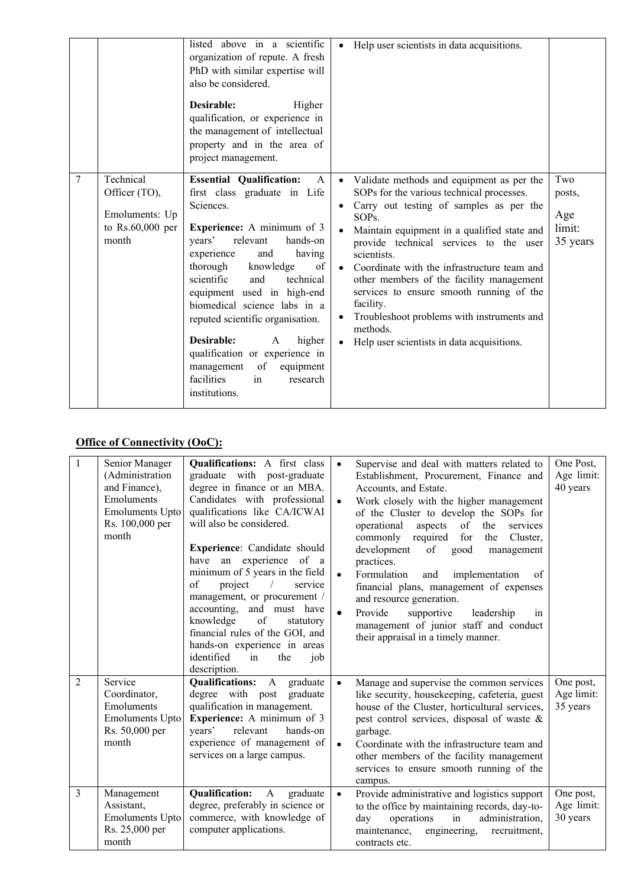|   |                                                                             | listed above in a scientific<br>organization of repute. A fresh<br>PhD with similar expertise will<br>also be considered.<br>Desirable:<br>Higher<br>qualification, or experience in<br>the management of intellectual<br>property and in the area of<br>project management.                                                                                                                                                                                                                                | Help user scientists in data acquisitions.<br>$\bullet$                                                                                                                                                                                                                                                                                                                                                                                                                                                                                                                        |                                            |
|---|-----------------------------------------------------------------------------|-------------------------------------------------------------------------------------------------------------------------------------------------------------------------------------------------------------------------------------------------------------------------------------------------------------------------------------------------------------------------------------------------------------------------------------------------------------------------------------------------------------|--------------------------------------------------------------------------------------------------------------------------------------------------------------------------------------------------------------------------------------------------------------------------------------------------------------------------------------------------------------------------------------------------------------------------------------------------------------------------------------------------------------------------------------------------------------------------------|--------------------------------------------|
| 7 | Technical<br>Officer (TO),<br>Emoluments: Up<br>to $Rs.60,000$ per<br>month | <b>Essential Qualification:</b><br>A<br>first class graduate in Life<br>Sciences.<br><b>Experience:</b> A minimum of 3<br>relevant<br>hands-on<br>years'<br>having<br>experience<br>and<br>thorough<br>knowledge<br>of<br>scientific<br>technical<br>and<br>equipment used in high-end<br>biomedical science labs in a<br>reputed scientific organisation.<br>Desirable:<br>higher<br>A<br>qualification or experience in<br>of<br>equipment<br>management<br>facilities<br>research<br>in<br>institutions. | Validate methods and equipment as per the<br>$\bullet$<br>SOPs for the various technical processes.<br>Carry out testing of samples as per the<br>$\bullet$<br>SOP <sub>s.</sub><br>Maintain equipment in a qualified state and<br>provide technical services to the user<br>scientists.<br>Coordinate with the infrastructure team and<br>$\bullet$<br>other members of the facility management<br>services to ensure smooth running of the<br>facility.<br>Troubleshoot problems with instruments and<br>methods.<br>Help user scientists in data acquisitions.<br>$\bullet$ | Two<br>posts,<br>Age<br>limit:<br>35 years |

# **Office of Connectivity (OoC):**

| 1              | Senior Manager<br>(Administration<br>and Finance),<br>Emoluments<br><b>Emoluments Upto</b><br>Rs. 100,000 per<br>month | <b>Qualifications:</b> A first class<br>graduate with post-graduate<br>degree in finance or an MBA.<br>Candidates with professional<br>qualifications like CA/ICWAI<br>will also be considered.<br>Experience: Candidate should<br>have an experience<br>of a<br>minimum of 5 years in the field<br>of<br>project<br>$\overline{\phantom{a}}$<br>service<br>management, or procurement /<br>accounting, and must have<br>knowledge<br>of<br>statutory<br>financial rules of the GOI, and<br>hands-on experience in areas<br>identified<br>in<br>the<br>job<br>description. | $\bullet$              | Supervise and deal with matters related to<br>Establishment, Procurement, Finance and<br>Accounts, and Estate.<br>Work closely with the higher management<br>of the Cluster to develop the SOPs for<br>aspects<br>of the<br>operational<br>services<br>for<br>commonly required<br>the<br>Cluster,<br>development<br>of<br>good<br>management<br>practices.<br>Formulation<br>implementation<br>and<br>of<br>financial plans, management of expenses<br>and resource generation.<br>Provide<br>supportive<br>leadership<br>in<br>management of junior staff and conduct<br>their appraisal in a timely manner. | One Post,<br>Age limit:<br>40 years |
|----------------|------------------------------------------------------------------------------------------------------------------------|----------------------------------------------------------------------------------------------------------------------------------------------------------------------------------------------------------------------------------------------------------------------------------------------------------------------------------------------------------------------------------------------------------------------------------------------------------------------------------------------------------------------------------------------------------------------------|------------------------|----------------------------------------------------------------------------------------------------------------------------------------------------------------------------------------------------------------------------------------------------------------------------------------------------------------------------------------------------------------------------------------------------------------------------------------------------------------------------------------------------------------------------------------------------------------------------------------------------------------|-------------------------------------|
| $\overline{2}$ | Service<br>Coordinator,<br>Emoluments<br><b>Emoluments Upto</b><br>Rs. 50,000 per<br>month                             | <b>Qualifications:</b><br>graduate<br>A<br>degree with post graduate<br>qualification in management.<br>Experience: A minimum of 3<br>relevant<br>hands-on<br>vears'<br>experience of management of<br>services on a large campus.                                                                                                                                                                                                                                                                                                                                         | $\bullet$<br>$\bullet$ | Manage and supervise the common services<br>like security, housekeeping, cafeteria, guest<br>house of the Cluster, horticultural services,<br>pest control services, disposal of waste $\&$<br>garbage.<br>Coordinate with the infrastructure team and<br>other members of the facility management<br>services to ensure smooth running of the<br>campus.                                                                                                                                                                                                                                                      | One post,<br>Age limit:<br>35 years |
| 3              | Management<br>Assistant,<br><b>Emoluments Upto</b><br>Rs. 25,000 per<br>month                                          | <b>Qualification:</b><br>$\mathbf{A}$<br>graduate<br>degree, preferably in science or<br>commerce, with knowledge of<br>computer applications.                                                                                                                                                                                                                                                                                                                                                                                                                             | $\bullet$              | Provide administrative and logistics support<br>to the office by maintaining records, day-to-<br>operations<br>administration,<br>in<br>day<br>engineering,<br>maintenance,<br>recruitment,<br>contracts etc.                                                                                                                                                                                                                                                                                                                                                                                                  | One post,<br>Age limit:<br>30 years |